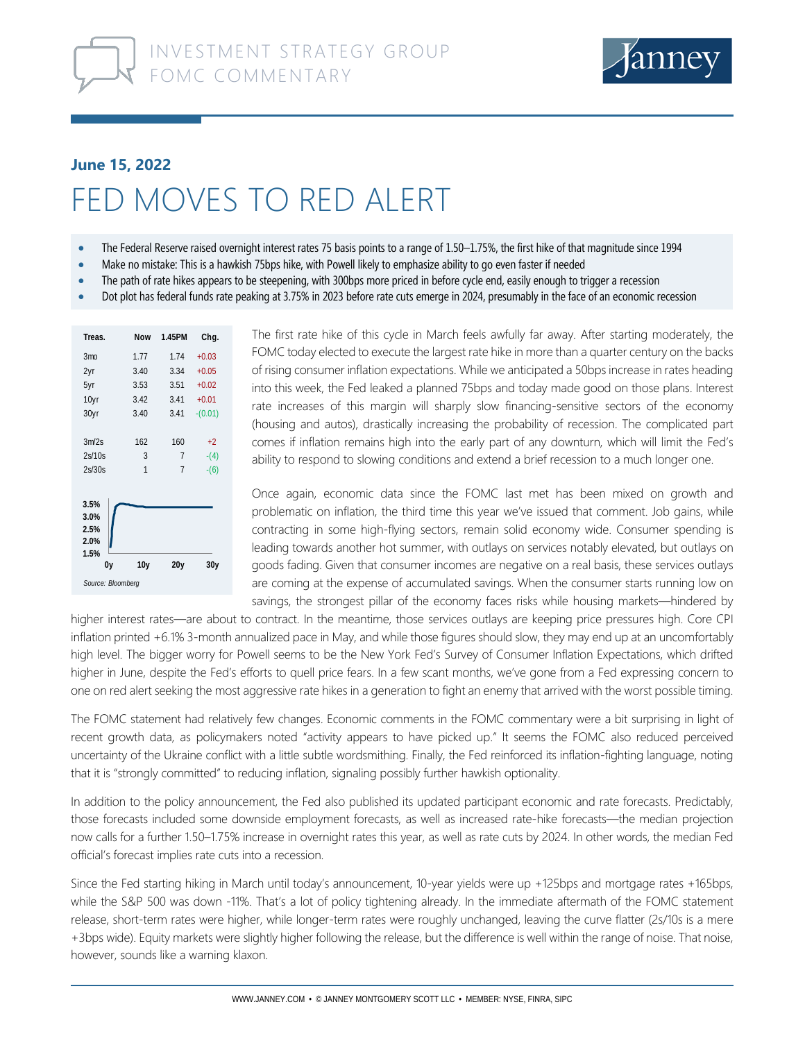

## **June 15, 2022** FED MOVES TO RED AI FRT

- The Federal Reserve raised overnight interest rates 75 basis points to a range of 1.50–1.75%, the first hike of that magnitude since 1994
- Make no mistake: This is a hawkish 75bps hike, with Powell likely to emphasize ability to go even faster if needed
- The path of rate hikes appears to be steepening, with 300bps more priced in before cycle end, easily enough to trigger a recession
- Dot plot has federal funds rate peaking at 3.75% in 2023 before rate cuts emerge in 2024, presumably in the face of an economic recession

| Treas.                               | <b>Now</b>      | 1.45PM         | Chg.                     |  |  |  |  |  |  |  |
|--------------------------------------|-----------------|----------------|--------------------------|--|--|--|--|--|--|--|
| 3 <sub>mo</sub>                      | 1.77            | 1.74           | $+0.03$                  |  |  |  |  |  |  |  |
| 2yr                                  | 3.40            | 3.34           | $+0.05$                  |  |  |  |  |  |  |  |
| 5yr                                  | 3.53            | 3.51           | $+0.02$                  |  |  |  |  |  |  |  |
| 10yr                                 | 3.42            | 3.41           | $+0.01$                  |  |  |  |  |  |  |  |
| 30yr                                 | 3.40            | 3.41           | $-(0.01)$                |  |  |  |  |  |  |  |
|                                      |                 |                |                          |  |  |  |  |  |  |  |
| 3m/2s                                | 162             | 160            | $+2$<br>$-(4)$<br>$-(6)$ |  |  |  |  |  |  |  |
| 2s/10s                               | 3               | 7              |                          |  |  |  |  |  |  |  |
| 2s/30s                               | 1               | $\overline{1}$ |                          |  |  |  |  |  |  |  |
| 3.5%<br>3.0%<br>2.5%<br>2.0%<br>1.5% |                 |                |                          |  |  |  |  |  |  |  |
| 0y                                   | 10 <sub>y</sub> | 20y            | 30y                      |  |  |  |  |  |  |  |
| Source: Bloomberg                    |                 |                |                          |  |  |  |  |  |  |  |

The first rate hike of this cycle in March feels awfully far away. After starting moderately, the FOMC today elected to execute the largest rate hike in more than a quarter century on the backs of rising consumer inflation expectations. While we anticipated a 50bps increase in rates heading into this week, the Fed leaked a planned 75bps and today made good on those plans. Interest rate increases of this margin will sharply slow financing-sensitive sectors of the economy (housing and autos), drastically increasing the probability of recession. The complicated part comes if inflation remains high into the early part of any downturn, which will limit the Fed's ability to respond to slowing conditions and extend a brief recession to a much longer one.

Once again, economic data since the FOMC last met has been mixed on growth and problematic on inflation, the third time this year we've issued that comment. Job gains, while contracting in some high-flying sectors, remain solid economy wide. Consumer spending is leading towards another hot summer, with outlays on services notably elevated, but outlays on goods fading. Given that consumer incomes are negative on a real basis, these services outlays are coming at the expense of accumulated savings. When the consumer starts running low on savings, the strongest pillar of the economy faces risks while housing markets—hindered by

higher interest rates—are about to contract. In the meantime, those services outlays are keeping price pressures high. Core CPI inflation printed +6.1% 3-month annualized pace in May, and while those figures should slow, they may end up at an uncomfortably high level. The bigger worry for Powell seems to be the New York Fed's Survey of Consumer Inflation Expectations, which drifted higher in June, despite the Fed's efforts to quell price fears. In a few scant months, we've gone from a Fed expressing concern to one on red alert seeking the most aggressive rate hikes in a generation to fight an enemy that arrived with the worst possible timing.

The FOMC statement had relatively few changes. Economic comments in the FOMC commentary were a bit surprising in light of recent growth data, as policymakers noted "activity appears to have picked up." It seems the FOMC also reduced perceived uncertainty of the Ukraine conflict with a little subtle wordsmithing. Finally, the Fed reinforced its inflation-fighting language, noting that it is "strongly committed" to reducing inflation, signaling possibly further hawkish optionality.

In addition to the policy announcement, the Fed also published its updated participant economic and rate forecasts. Predictably, those forecasts included some downside employment forecasts, as well as increased rate-hike forecasts—the median projection now calls for a further 1.50–1.75% increase in overnight rates this year, as well as rate cuts by 2024. In other words, the median Fed official's forecast implies rate cuts into a recession.

Since the Fed starting hiking in March until today's announcement, 10-year yields were up +125bps and mortgage rates +165bps, while the S&P 500 was down -11%. That's a lot of policy tightening already. In the immediate aftermath of the FOMC statement release, short-term rates were higher, while longer-term rates were roughly unchanged, leaving the curve flatter (2s/10s is a mere +3bps wide). Equity markets were slightly higher following the release, but the difference is well within the range of noise. That noise, however, sounds like a warning klaxon.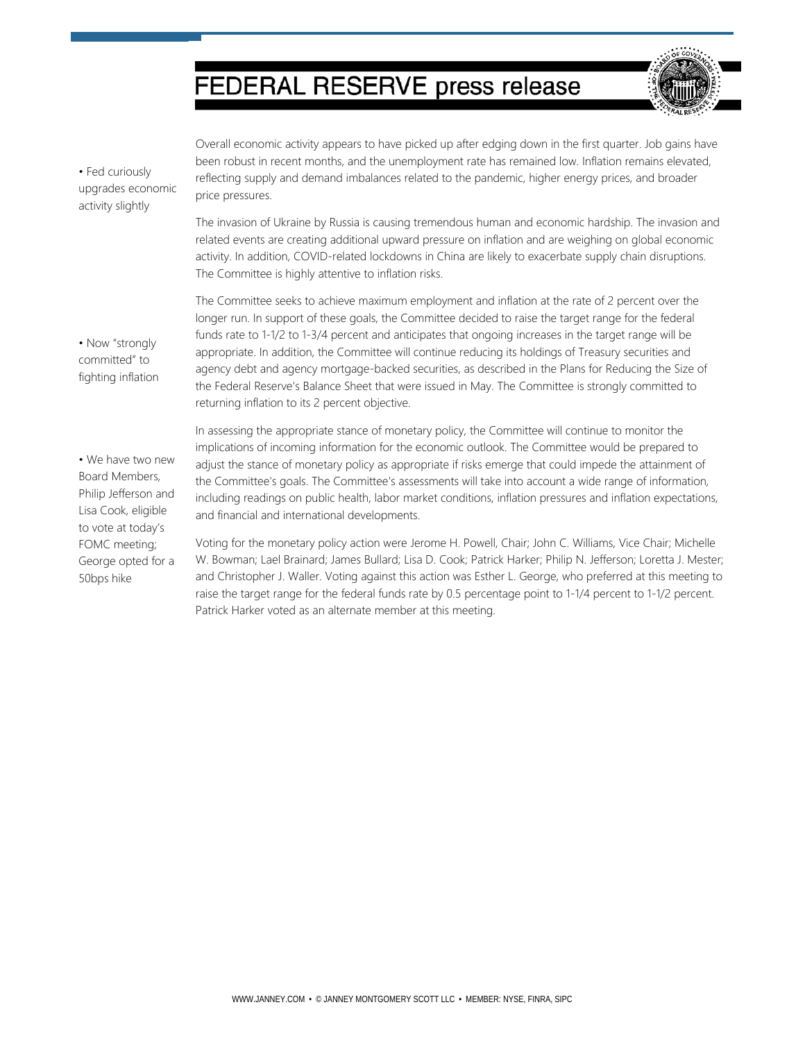## **FEDERAL RESERVE press release**



• Fed curiously upgrades economic activity slightly

Overall economic activity appears to have picked up after edging down in the first quarter. Job gains have been robust in recent months, and the unemployment rate has remained low. Inflation remains elevated, reflecting supply and demand imbalances related to the pandemic, higher energy prices, and broader price pressures.

The invasion of Ukraine by Russia is causing tremendous human and economic hardship. The invasion and related events are creating additional upward pressure on inflation and are weighing on global economic activity. In addition, COVID-related lockdowns in China are likely to exacerbate supply chain disruptions. The Committee is highly attentive to inflation risks.

• Now "strongly committed" to fighting inflation

• We have two new Board Members, Philip Jefferson and Lisa Cook, eligible to vote at today's FOMC meeting; George opted for a 50bps hike

The Committee seeks to achieve maximum employment and inflation at the rate of 2 percent over the longer run. In support of these goals, the Committee decided to raise the target range for the federal funds rate to 1-1/2 to 1-3/4 percent and anticipates that ongoing increases in the target range will be appropriate. In addition, the Committee will continue reducing its holdings of Treasury securities and agency debt and agency mortgage-backed securities, as described in the Plans for Reducing the Size of the Federal Reserve's Balance Sheet that were issued in May. The Committee is strongly committed to returning inflation to its 2 percent objective.

In assessing the appropriate stance of monetary policy, the Committee will continue to monitor the implications of incoming information for the economic outlook. The Committee would be prepared to adjust the stance of monetary policy as appropriate if risks emerge that could impede the attainment of the Committee's goals. The Committee's assessments will take into account a wide range of information, including readings on public health, labor market conditions, inflation pressures and inflation expectations, and financial and international developments.

Voting for the monetary policy action were Jerome H. Powell, Chair; John C. Williams, Vice Chair; Michelle W. Bowman; Lael Brainard; James Bullard; Lisa D. Cook; Patrick Harker; Philip N. Jefferson; Loretta J. Mester; and Christopher J. Waller. Voting against this action was Esther L. George, who preferred at this meeting to raise the target range for the federal funds rate by 0.5 percentage point to 1-1/4 percent to 1-1/2 percent. Patrick Harker voted as an alternate member at this meeting.